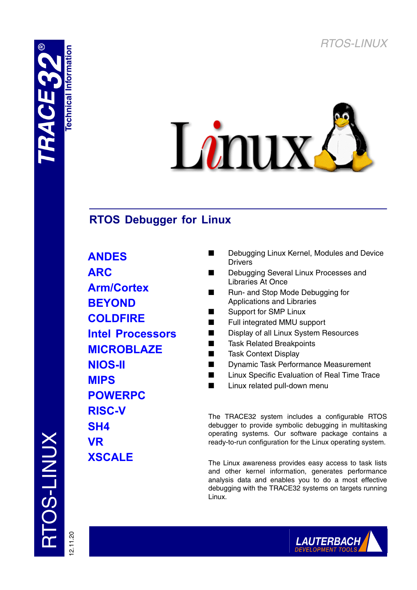



# **RTOS Debugger for Linux**

**ANDES ARC Arm/Cortex BEYOND COLDFIRE Intel Processors MICROBLAZE NIOS-II MIPS POWERPC RISC-V SH4 VR XSCALE**

- Debugging Linux Kernel, Modules and Device Drivers
- Debugging Several Linux Processes and Libraries At Once
- Run- and Stop Mode Debugging for Applications and Libraries
- Support for SMP Linux
- Full integrated MMU support
- Display of all Linux System Resources
- Task Related Breakpoints
- **Task Context Display**
- Dynamic Task Performance Measurement
- Linux Specific Evaluation of Real Time Trace
- Linux related pull-down menu

The TRACE32 system includes a configurable RTOS debugger to provide symbolic debugging in multitasking operating systems. Our software package contains a ready-to-run configuration for the Linux operating system.

The Linux awareness provides easy access to task lists and other kernel information, generates performance analysis data and enables you to do a most effective debugging with the TRACE32 systems on targets running Linux.

TOS-LINUX RTOS-LINUX



12.11.20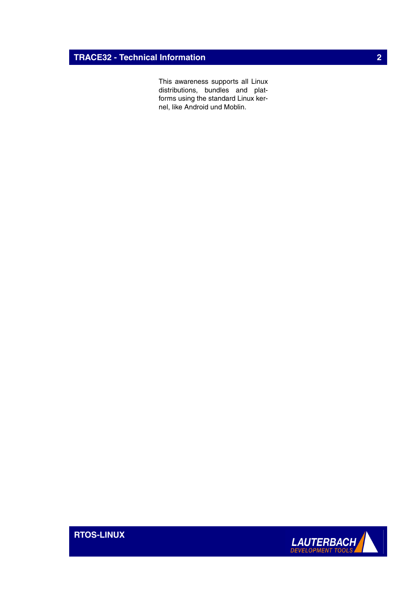## **TRACE32 - Technical Information 2**

This awareness supports all Linux distributions, bundles and platforms using the standard Linux kernel, like Android und Moblin.



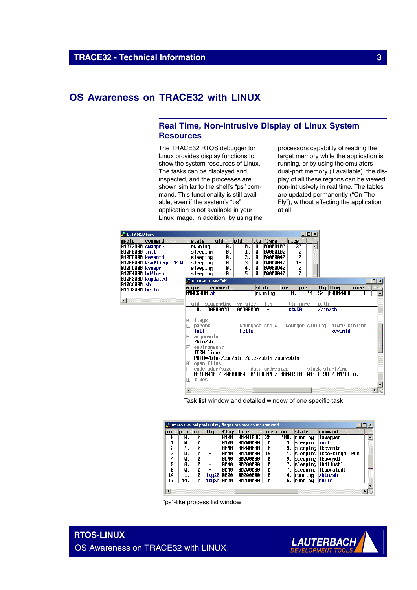## **OS Awareness on TRACE32 with LINUX**

## **Real Time, Non-Intrusive Display of Linux System Resources**

The TRACE32 RTOS debugger for Linux provides display functions to show the system resources of Linux. The tasks can be displayed and inspected, and the processes are shown similar to the shell's "ps" command. This functionality is still available, even if the system's "ps" application is not available in your Linux image. In addition, by using the processors capability of reading the target memory while the application is running, or by using the emulators dual-port memory (if available), the display of all these regions can be viewed non-intrusively in real time. The tables are updated permanently ("On The Fly"), without affecting the application at all.



Task list window and detailed window of one specific task

|     |          |    |        |            | <b>B::TASK.PS</b> pid ppid uid tty flags time nice count stat cmd |     |            |                    |                           |  |
|-----|----------|----|--------|------------|-------------------------------------------------------------------|-----|------------|--------------------|---------------------------|--|
| bid | ppid uid |    | ttu    | flags time |                                                                   |     | nice count | state              | command                   |  |
| 0.  | 0.       | 0. |        | 0100       | 00001A3C                                                          | 20. | $-100$ .   | running            | [swapper]                 |  |
|     | Й.       | Й. | -      | 0100       | 00000000                                                          | Ø.  | 9.         | sleeping           | init                      |  |
| 2.  | 1.       | 0. |        | 0040       | 00000000                                                          | 0.  | 9.         | sleeping           | [keventd]                 |  |
| 3.  | Й.       | Й. | -      | 0040       | <b>ПАЛЛАЛАЛ</b>                                                   | 19. |            |                    | sleeping [ksoftirgd_CPU0] |  |
| 4.  | Й.       | 0. | -      | 0840       | 00000000                                                          | 0.  | 9.         | sleeping [[kswapd] |                           |  |
| 5.  | Й.       | Й. |        | 0040       | <b> </b> АААААААА                                                 | 0.  |            | sleeping           | [bdflush]                 |  |
| 6.  | Й.       | Й. |        | 0040       | 00000000                                                          | Й.  |            |                    | $s$ leeping [[kupdated]   |  |
| 14. |          | 0. | ttuS0  | 0000       | 00000000                                                          | 0.  | 4.         | running            | /bin/sh                   |  |
| 17  | t4.      | Ø. | 'ttyS0 | 0000       | 00000000                                                          | 0.  | 5.         | running            | hello                     |  |
|     |          |    |        |            |                                                                   |     |            |                    |                           |  |
|     |          |    |        |            |                                                                   |     |            |                    |                           |  |

"ps"-like process list window

**RTOS-LINUX** OS Awareness on TRACE32 with LINUX

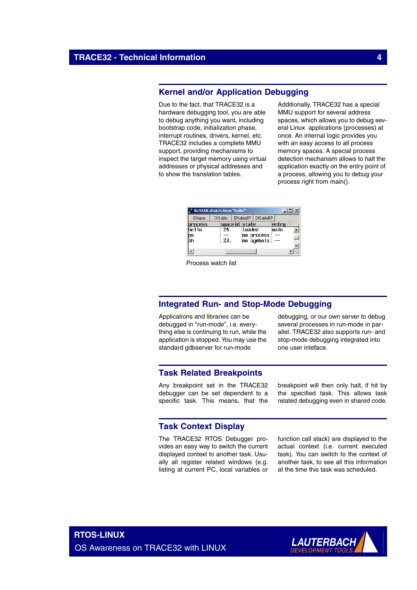## **Kernel and/or Application Debugging**

Due to the fact, that TRACE32 is a hardware debugging tool, you are able to debug anything you want, including bootstrap code, initialization phase, interrupt routines, drivers, kernel, etc. TRACE32 includes a complete MMU support, providing mechanisms to inspect the target memory using virtual addresses or physical addresses and to show the translation tables.

Additionally, TRACE32 has a special MMU support for several address spaces, which allows you to debug several Linux applications (processes) at once. An internal logic provides you with an easy access to all process memory spaces. A special process detection mechanism allows to halt the application exactly on the entry point of a process, allowing you to debug your process right from main().

| $\Box$ o $\mathbf{x}$<br><b>.</b> B::TASK.Watch.View "hello" |                |                              |       |  |  |  |  |  |  |
|--------------------------------------------------------------|----------------|------------------------------|-------|--|--|--|--|--|--|
| ENable                                                       | <b>DISable</b> | ENableBP<br><b>DISableBP</b> |       |  |  |  |  |  |  |
| rocess                                                       | spaceid state  |                              | entry |  |  |  |  |  |  |
| hello                                                        | 24.            | loaded                       | main  |  |  |  |  |  |  |
| ps<br>sh                                                     |                | no process                   |       |  |  |  |  |  |  |
|                                                              | 23.            | no sumbols                   |       |  |  |  |  |  |  |
|                                                              |                |                              |       |  |  |  |  |  |  |
|                                                              |                |                              |       |  |  |  |  |  |  |
|                                                              |                |                              |       |  |  |  |  |  |  |

Process watch list

## **Integrated Run- and Stop-Mode Debugging**

Applications and libraries can be debugged in "run-mode", i.e. everything else is continuing to run, while the application is stopped. You may use the standard gdbserver for run-mode

debugging, or our own server to debug several processes in run-mode in parallel. TRACE32 also supports run- and stop-mode debugging integrated into one user inteface.

## **Task Related Breakpoints**

Any breakpoint set in the TRACE32 debugger can be set dependent to a specific task. This means, that the

breakpoint will then only halt, if hit by the specified task. This allows task related debugging even in shared code.

## **Task Context Display**

The TRACE32 RTOS Debugger provides an easy way to switch the current displayed context to another task. Usually all register related windows (e.g. listing at current PC, local variables or

function call stack) are displayed to the actual context (i.e. current executed task). You can switch to the context of another task, to see all this information at the time this task was scheduled.

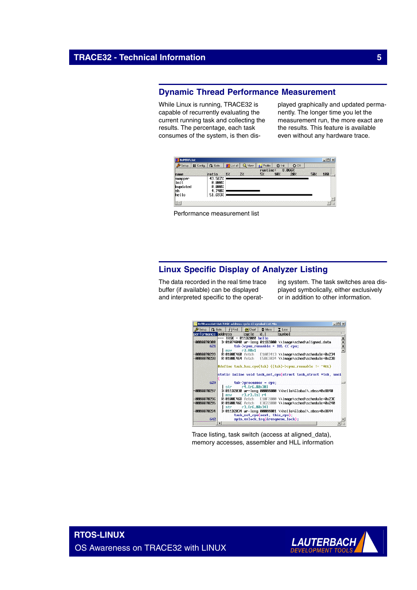## **Dynamic Thread Performance Measurement**

While Linux is running, TRACE32 is capable of recurrently evaluating the current running task and collecting the results. The percentage, each task consumes of the system, is then displayed graphically and updated permanently. The longer time you let the measurement run, the more exact are the results. This feature is available even without any hardware trace.

| Setup.    | - Config   Q. Goto | List all<br>黨 | View | Profile     | <b>O</b> Init   | $O$ Off |     |     |
|-----------|--------------------|---------------|------|-------------|-----------------|---------|-----|-----|
|           |                    |               |      | $r$ untime: |                 | 8.066%  |     |     |
| name      | ratio              | 17            | 27.  | 57          | 10 <sub>7</sub> | 20%     | 50% | 100 |
| swapper   | 43.567%            |               |      |             |                 |         |     |     |
| linit     | 0.000%             |               |      |             |                 |         |     |     |
| kupdated  | 0.000%             |               |      |             |                 |         |     |     |
| <b>sh</b> | 4.748%             |               |      |             |                 |         |     |     |
| hello     | 51.693%            |               |      |             |                 |         |     |     |
|           |                    |               |      |             |                 |         |     |     |
|           |                    |               |      |             |                 |         |     |     |

Performance measurement list

## **Linux Specific Display of Analyzer Listing**

The data recorded in the real time trace buffer (if available) can be displayed and interpreted specific to the operat-

ing system. The task switches area displayed symbolically, either exclusively or in addition to other information.



Trace listing, task switch (access at aligned\_data), memory accesses, assembler and HLL information

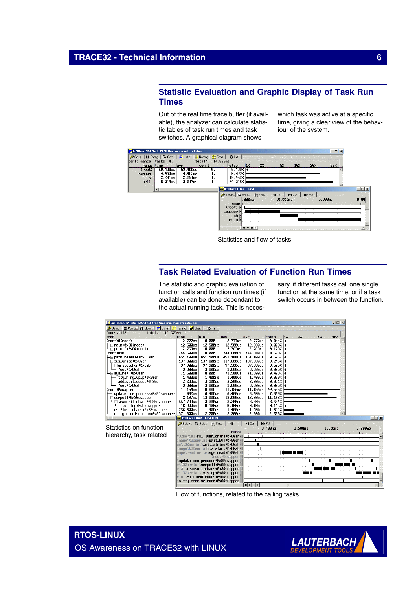## **Statistic Evaluation and Graphic Display of Task Run Times**

Out of the real time trace buffer (if available), the analyzer can calculate statistic tables of task run times and task switches. A graphical diagram shows

which task was active at a specific time, giving a clear view of the behaviour of the system.



Statistics and flow of tasks

## **Task Related Evaluation of Function Run Times**

The statistic and graphic evaluation of function calls and function run times (if available) can be done dependant to the actual running task. This is neces-

sary, if different tasks call one single function at the same time, or if a task switch occurs in between the function.



Flow of functions, related to the calling tasks

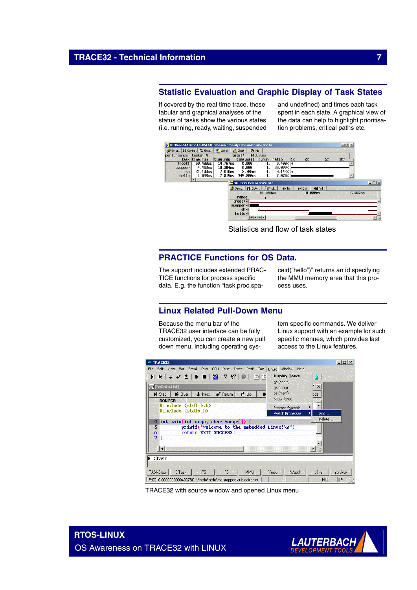## **Statistic Evaluation and Graphic Display of Task States**

If covered by the real time trace, these tabular and graphical analyses of the status of tasks show the various states (i.e. running, ready, waiting, suspended and undefined) and times each task spent in each state. A graphical view of the data can help to highlight prioritisation problems, critical paths etc.



Statistics and flow of task states

## **PRACTICE Functions for OS Data.**

The support includes extended PRAC-TICE functions for process specific data. E.g. the function "task.proc.spaceid("hello")" returns an id specifying the MMU memory area that this process uses.

## **Linux Related Pull-Down Menu**

Because the menu bar of the TRACE32 user interface can be fully customized, you can create a new pull down menu, including operating sys-

tem specific commands. We deliver Linux support with an example for such specific menues, which provides fast access to the Linux features.



TRACE32 with source window and opened Linux menu

**RTOS-LINUX** OS Awareness on TRACE32 with LINUX

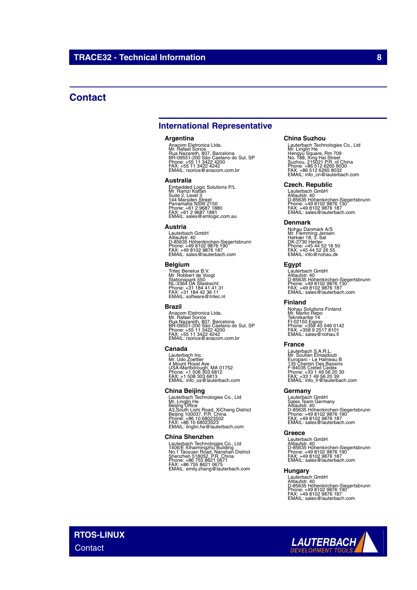## **Contact**

## **International Representative**

#### **Argentina**

Anacom Eletronica Ltda.<br>Mr. Rafael Sorice<br>Rua Nazareth, 807, Barcelona<br>BR-09551-200 São Caetano do Sul, SP<br>Phone: +55 11 3422 4242<br>FAX: +55 11 3422 4242<br>EMAIL: rsorice@anacom.com.br

#### **Australia**

Embedded Logic Solutions P/L<br>Mr. Ramzi Kattan<br>Suite 2, Level 3<br>Parramatta NSW 2150<br>Parramatta NSW 2150<br>Phone: +61 2 9687 1880<br>FMAIL: sales@emlogic.com.au

### **Austria**

Lauterbach GmbH<br>Altlaufstr. 40<br>D-85635 Höhenkirchen-Siegertsbrunn<br>Phone: +49 8102 9876 187<br>FAX: +49 8102 9876 187<br>EMAIL: sales@lauterbach.com

### **Belgium**

Tritec Benelux B.V. Mr. Robbert de Voogt Stationspark 550 NL-3364 DA Sliedrecht Phone: +31 184 41 41 31 FAX: +31 184 42 36 11 EMAIL: software@tritec.nl

#### **Brazil**

Anacom Eletronica Ltda.<br>Mr. Rafael Sorice<br>Rua Nazareth, 807, Barcelona<br>BR-09551-200 São Caetano do Sul, SP<br>Phone: +55 11 3422 4242<br>FAX: +55 11 3422 4242<br>EMAIL: rsorice@anacom.com.br

### **Canada**

Lauterbach Inc. Mr. Udo Zoettler 4 Mount Royal Ave. USA-Marlborough, MA 01752 Phone: +1 508 303 6812 FAX: +1 508 303 6813 EMAIL: info\_us@lauterbach.com

### **China Beijing**

Lauterbach Technologies Co., Ltd<br>Mr. Linglin He<br>Beijing Office<br>A3,South Lishi Road, XiCheng District<br>Beijing 100037, P.R. China<br>Phone: +86 10 68023523<br>FMAIL: linglin.he@lauterbach.com

### **China Shenzhen**

Lauterbach Technologies Co., Ltd<br>1406/E Xihaimingzhu Building<br>No.1 Taoyuan Road, Nanshan District<br>Shenzhen 518052, P.R. China<br>Phone: +86 755 8621 0675<br>FAX: +86 755 8621 0675<br>EMAIL: emily.zhang@lauterbach.com

#### **China Suzhou**

Lauterbach Technologies Co., Ltd<br>Mr. Linglin He<br>Hengyu Square, Rm 709<br>Suzhou, 215021 P.R. of China<br>Suzhou, 215021 P.R. of China<br>Phone: +86 512 6265 8030<br>FMAIL: info\_cn@lauterbach.com

### **Czech. Republic**

Lauterbach GmbH<br>Altlaufstr. 40<br>D-85635 Höhenkirchen-Siegertsbrunn<br>Phone: +49 8102 9876 187<br>FAX: +49 8102 9876 187<br>EMAIL: sales@lauterbach.com

#### **Denmark**

Nohau Danmark A/S<br>Mr. Flemming Jensen<br>Hørkær 18, 3. Sal<br>DK-2730 Herlev<br>Phone: +45 44 52 16 50<br>FAX: +45 44 52 26 55<br>EMAIL: info@nohau.dk

### **Egypt**

Lauterbach GmbH<br>Altlaufstr. 40<br>D-85635 Höhenkirchen-Siegertsbrunn<br>Phone: +49 8102 9876 187<br>FAX: +49 8102 9876 187<br>EMAIL: sales@lauterbach.com

## **Finland**

Nohau Solutions Finland Mr. Marko Repo Tekniikantie 14 FI-02150 Espoo Phone: +358 40 546 0142 FAX: +358 9 2517 8101 EMAIL: sales@nohau.fi

### **France**

Lauterbach S.A.R.L.<br>Mr. Soufian Elmajdoub<br>Europarc - Le Hameau B<br>135 Chemin Des Bassins<br>F-94035 Créteil Cedex<br>Phone: +33 1 49 56 20 30<br>EMAIL: info\_fr@lauterbach.com<br>EMAIL: info\_fr@lauterbach.com

## **Germany**

Lauterbach GmbH<br>Sales Team Germany<br>Altlaufstr. 40<br>D-85635 Höhenkirchen-Siegertsbrunn<br>Phone: +49 8102 9876 187<br>FAX: +49 8102 9876 187<br>EMAIL: sales@lauterbach.com

### **Greece**

Lauterbach GmbH Altlaufstr. 40 D-85635 Höhenkirchen-Siegertsbrunn Phone: +49 8102 9876 190 FAX: +49 8102 9876 187 EMAIL: sales@lauterbach.com

## **Hungary**

Lauterbach GmbH<br>Altlaufstr. 40<br>D-85635 Höhenkirchen-Siegertsbrunn<br>Phone: +49 8102 9876 187<br>FAX: +49 8102 9876 187<br>EMAIL: sales@lauterbach.com

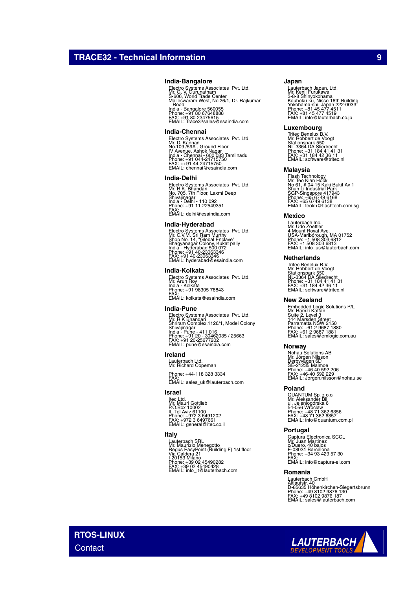### **India-Bangalore**

Electro Systems Associates Pvt. Ltd.<br>Mr. G. V. Gurunatham<br>Malleswaram West, No.26/1, Dr. Rajkumar<br>Malleswaram West, No.26/1, Dr. Rajkumar<br>. Road India - Bangalore 560055 Phone: +91 80 67648888 FAX: +91 80 23475615 EMAIL: Trace32sales@esaindia.com

#### **India-Chennai**

Electro Systems Associates Pvt. Ltd.<br>Mr. D. Kannan<br>IV Avenue, Ashok Nagar<br>India - Chennai - 600 083 Tamilnadu<br>India - Chennai - 600 083 Tamilnadu<br>Phone: +91 044-24715750<br>EMAIL: chennai@esaindia.com

#### **India-Delhi**

Electro Systems Associates Pvt. Ltd.<br>Mr. R.K. Bhandari<br>Shivajinagar<br>Shivajinagar<br>India - Delhi - 110 092<br>Phone: +91 11-22549351<br>FMAIL: delhi@esaindia.com

#### **India-Hyderabad**

Electro Systems Associates Pvt. Ltd.<br>Mr. C.V.M. Sri Ram Murthy<br>Shop No. 14, "Global Enclave"<br>India - Hyderabad 500 072<br>India - Hyderabad 500 072<br>Phone: +91 40-23063346<br>EMAIL: hyderabad@esaindia.com

### **India-Kolkata**

Electro Systems Associates Pvt. Ltd. Mr. Arun Roy India - Kolkata Phone: +91 98305 78843 FAX: EMAIL: kolkata@esaindia.com

#### **India-Pune**

Electro Systems Associates Pvt. Ltd.<br>Mr. R K Bhandari<br>Shrivajinagar<br>Shivajinagar<br>India - Pune - 411 016<br>Phone: +91 20 - 30462035 / 25663<br>FAX: +91 20 -25677202<br>EMAIL: pune@esaindia.com

## **Ireland**

Lauterbach Ltd. Mr. Richard Copeman

Phone: +44-118 328 3334 FAX: EMAIL: sales\_uk@lauterbach.com

## **Israel**

ltec Ltd.<br>Mr. Mauri Gottlieb<br>P.O.Box 10002<br>IL-Tel Aviv 61100<br>Phone: +972 3 6497661<br>FMAIL: general@itec.co.il

## **Italy**

Lauterbach SRL<br>Mr. Maurizio Menegotto<br>Regus EasyPoint (Building F) 1st floor<br>Via Caldera 21<br>I-20153 Milano<br>Phone: +39 02 454902282<br>FMAIL: info\_it@lauterbach.com<br>EMAIL: info\_it@lauterbach.com

### **Japan**

Lauterbach Japan, Ltd.<br>3-8-8 Shinyokohama<br>X-8-8 Shinyokohama<br>Yokohama-shi, Japan 222-0033<br>Yokohama-shi, Japan 222-0033<br>Phone: +81 45 477 4519<br>EMAIL: info@lauterbach.co.jp

#### **Luxembourg**

Tritec Benelux B.V. Mr. Robbert de Voogt Stationspark 550 NL-3364 DA Sliedrecht Phone: +31 184 41 41 31 FAX: +31 184 42 36 11 EMAIL: software@tritec.nl

### **Malaysia**

Flash Technology<br>Mr. Teo Kian Hock<br>No 61, # 04-15 Kaki Bukit Av 1<br>Shun Li Industrial Park<br>SGP-Singapore 417943<br>Phone: +65 6749 6138<br>PMAIL: teokh@flashtech.com.sg<br>EMAIL: teokh@flashtech.com.sg

### **Mexico**

Lauterbach Inc. Mr. Udo Zoettler 4 Mount Royal Ave. USA-Marlborough, MA 01752 Phone: +1 508 303 6812 FAX: +1 508 303 6813 EMAIL: info\_us@lauterbach.com

### **Netherlands**

Tritec Benelux B.V. Mr. Robbert de Voogt Stationspark 550 NL-3364 DA Sliedrecht Phone: +31 184 41 41 31 FAX: +31 184 42 36 11 EMAIL: software@tritec.nl

#### **New Zealand**

Embedded Logic Solutions P/L<br>Mr. Ramzi Kattan<br>Suite 2, Level 3<br>Parramatta NSW 2150<br>Parramatta NSW 2150<br>Phone: +61 2 9687 1880<br>Phone: +61 2 9687 1881<br>EMAIL: sales@emlogic.com.au

#### **Norway**

Nohau Solutions AB<br>Mr. Jörgen Nilsson<br>Derbyvägen 6D<br>SE-21235 Malmoe<br>Phone: +46 40 592 2206<br>FAX: +46-40 592 229<br>EMAIL: Jorgen.nilsson@nohau.se

### **Poland**

QUANTUM Sp. z o.o.<br>Mr. Aleksander Bil<br>ul. Jeleniogórska 6<br>54-056 Wroclaw<br>Phone: +48 71 362 6357<br>FAX: +48 71 362 6357<br>EMAIL: info@quantum.com.pl

#### **Portugal**

Captura Electronica SCCL<br>Mr. Juan Martinez<br>c/Duero, 40 bajos<br>E-08031 Barcelona<br>Phone: +34 93 429 57 30 FAX: EMAIL: info@captura-el.com

## **Romania**

Lauterbach GmbH<br>Altlaufstr. 40<br>D-85635 Höhenkirchen-Siegertsbrunn<br>Phone: +49 8102 9876 187<br>FAX: +49 8102 9876 187<br>EMAIL: sales@lauterbach.com

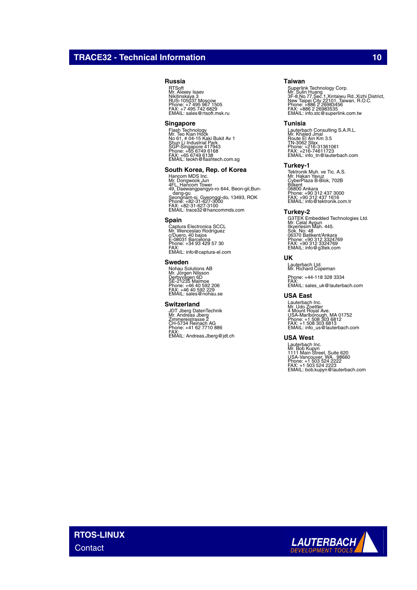## **TRACE32 - Technical Information 100 and 100 and 100 and 100 and 100 and 100 and 100 and 100 and 100 and 100 and 100 and 100 and 100 and 100 and 100 and 100 and 100 and 100 and 100 and 100 and 100 and 100 and 100 and 100 a**

## **Russia**

RTSoft Mr. Alexey Isaev Nikitinskaya 3 RUS-105037 Moscow Phone: +7 495 967 1505 FAX: +7 495 742 6829 EMAIL: sales@rtsoft.msk.ru

### **Singapore**

Flash Technology<br>Mr. Teo Kian Hock<br>No 61, # 04-15 Kaki Bukit Av 1<br>Shun Li Industrial Park<br>SGP-Singapore 417943<br>Phone: +65 6749 6138<br>FMAIL: teokh@flashtech.com.sg<br>EMAIL: teokh@flashtech.com.sg

### **South Korea, Rep. of Korea**

Hancom MDS Inc.<br>Mr. Dongwook Jun<br>4FL. Hancom Tower<br>49, Daewangpangyo-ro 644, Beon-gil,Bun-<br>Seongnam-si, Gyeonggi-do, 13493, ROK<br>Phone: +82-31-627-3000<br>FMAIL: trace32@hancommds.com

### **Spain**

Captura Electronica SCCL Mr. Wenceslao Rodríguez c/Duero, 40 bajos E-08031 Barcelona Phone: +34 93 429 57 30 FAX: EMAIL: info@captura-el.com

#### **Sweden**

Nohau Solutions AB<br>Mr. Jörgen Nilsson<br>Derbyvägen 6D<br>SE-21235 Malmoe<br>Phone: +46 40 592 229<br>FMAIL: sales@nohau.se

#### **Switzerland**

JDT Jberg DatenTechnik Mr. Andreas Jberg Zimmereistrasse 2 CH-5734 Reinach AG Phone: +41 62 7710 886 FAX: EMAIL: Andreas.Jberg@jdt.ch

## **Taiwan**

Superlink Technology Corp.<br>Mr. Sulin Huang<br>3F-8,No.77,Sec.1,Xintaiwu Rd.,Xizhi District,<br>New Taipei City 22101, Taiwan, R.O.C.<br>Phone: +886 2 26983535<br>EMX: +886 2 26983535<br>EMAIL: info.stc@superlink.com.tw

#### **Tunisia**

Lauterbach Consulting S.A.R.L.<br>Mr. Khaled Jmal<br>Route El Ain Km 3.5<br>TN-3062 Sfax<br>Phone: +216-31361061<br>FMX: -216-74611723<br>EMAIL: info\_tn@lauterbach.com

## **Turkey-1**

Tektronik Muh. ve Tic. A.S.<br>Mr. Hakan Yavuz<br>Bilkent<br>CyberPlaza B-Blok, 702B<br>06800 Ankara<br>Phone: +90 312 437 3000<br>Phone: +90 312 437 1616<br>EMAIL: info@tektronik.com.tr

#### **Turkey-2**

G3TEK Embedded Technologies Ltd. Mr. Celal Aygun Ilkyerlesim Mah. 445. Sok. No: 48 06370 Batikent/Ankara Phone: +90 312 3324769 FAX: +90 312 3324769 EMAIL: info@g3tek.com

## **UK**

Lauterbach Ltd. Mr. Richard Copeman

Phone: +44-118 328 3334 FAX: EMAIL: sales\_uk@lauterbach.com

## **USA East**

Lauterbach Inc. Mr. Udo Zoettler 4 Mount Royal Ave. USA-Marlborough, MA 01752 Phone: +1 508 303 6812 FAX: +1 508 303 6813 EMAIL: info\_us@lauterbach.com

#### **USA West**

Lauterbach Inc.<br>Mr. Bob Kupyn<br>1111 Main Street, Suite 620<br>USA-Vancouver, WA. 98660<br>Phone: +1 503 524 2222<br>FAX: +1 503 524 2223<br>EMAIL: bob.kupyn@lauterbach.com